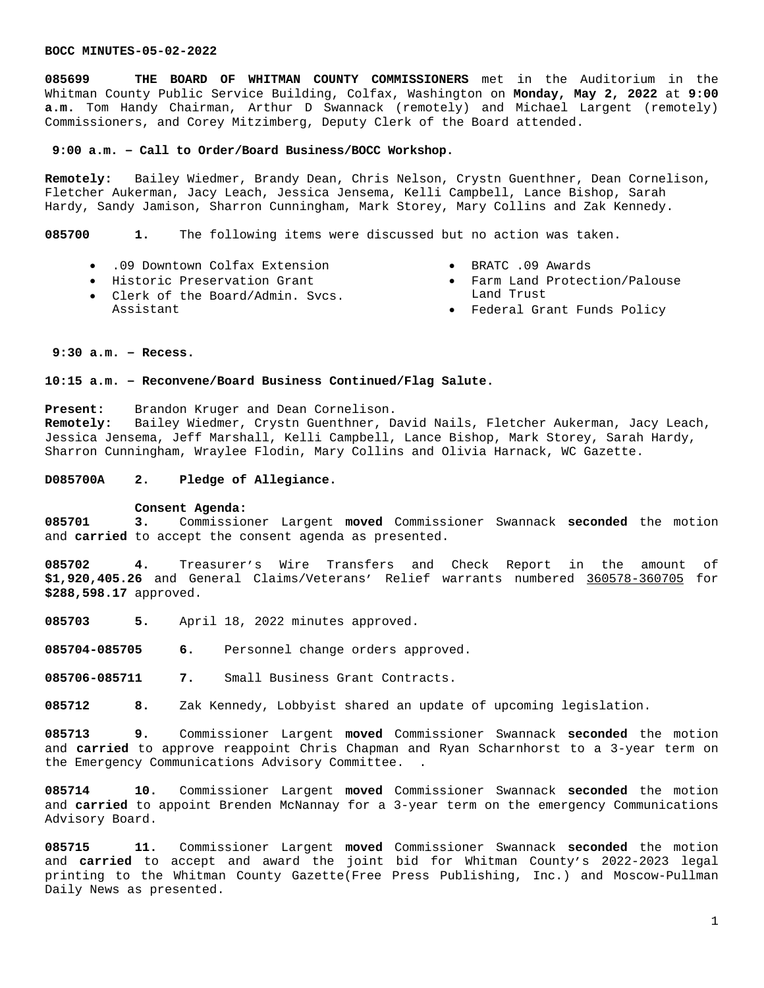**085699 THE BOARD OF WHITMAN COUNTY COMMISSIONERS** met in the Auditorium in the Whitman County Public Service Building, Colfax, Washington on **Monday, May 2, 2022** at **9:00 a.m.** Tom Handy Chairman, Arthur D Swannack (remotely) and Michael Largent (remotely) Commissioners, and Corey Mitzimberg, Deputy Clerk of the Board attended.

### **9:00 a.m. – Call to Order/Board Business/BOCC Workshop.**

**Remotely:** Bailey Wiedmer, Brandy Dean, Chris Nelson, Crystn Guenthner, Dean Cornelison, Fletcher Aukerman, Jacy Leach, Jessica Jensema, Kelli Campbell, Lance Bishop, Sarah Hardy, Sandy Jamison, Sharron Cunningham, Mark Storey, Mary Collins and Zak Kennedy.

**085700 1.** The following items were discussed but no action was taken.

 .09 Downtown Colfax Extension Historic Preservation Grant

Clerk of the Board/Admin. Svcs.

- BRATC .09 Awards
- Farm Land Protection/Palouse Land Trust
- Federal Grant Funds Policy

## **9:30 a.m. – Recess.**

Assistant

### **10:15 a.m. – Reconvene/Board Business Continued/Flag Salute.**

**Present:** Brandon Kruger and Dean Cornelison.

**Remotely:** Bailey Wiedmer, Crystn Guenthner, David Nails, Fletcher Aukerman, Jacy Leach, Jessica Jensema, Jeff Marshall, Kelli Campbell, Lance Bishop, Mark Storey, Sarah Hardy, Sharron Cunningham, Wraylee Flodin, Mary Collins and Olivia Harnack, WC Gazette.

# **D085700A 2. Pledge of Allegiance.**

### **Consent Agenda:**

**085701 3.** Commissioner Largent **moved** Commissioner Swannack **seconded** the motion and **carried** to accept the consent agenda as presented.

**085702 4.** Treasurer's Wire Transfers and Check Report in the amount of **\$1,920,405.26** and General Claims/Veterans' Relief warrants numbered 360578-360705 for **\$288,598.17** approved.

**085703 5.** April 18, 2022 minutes approved.

**085704-085705 6.** Personnel change orders approved.

**085706-085711 7.** Small Business Grant Contracts.

**085712 8.** Zak Kennedy, Lobbyist shared an update of upcoming legislation.

**085713 9.** Commissioner Largent **moved** Commissioner Swannack **seconded** the motion and **carried** to approve reappoint Chris Chapman and Ryan Scharnhorst to a 3-year term on the Emergency Communications Advisory Committee. .

**085714 10.** Commissioner Largent **moved** Commissioner Swannack **seconded** the motion and **carried** to appoint Brenden McNannay for a 3-year term on the emergency Communications Advisory Board.

**085715 11.** Commissioner Largent **moved** Commissioner Swannack **seconded** the motion and **carried** to accept and award the joint bid for Whitman County's 2022-2023 legal printing to the Whitman County Gazette(Free Press Publishing, Inc.) and Moscow-Pullman Daily News as presented.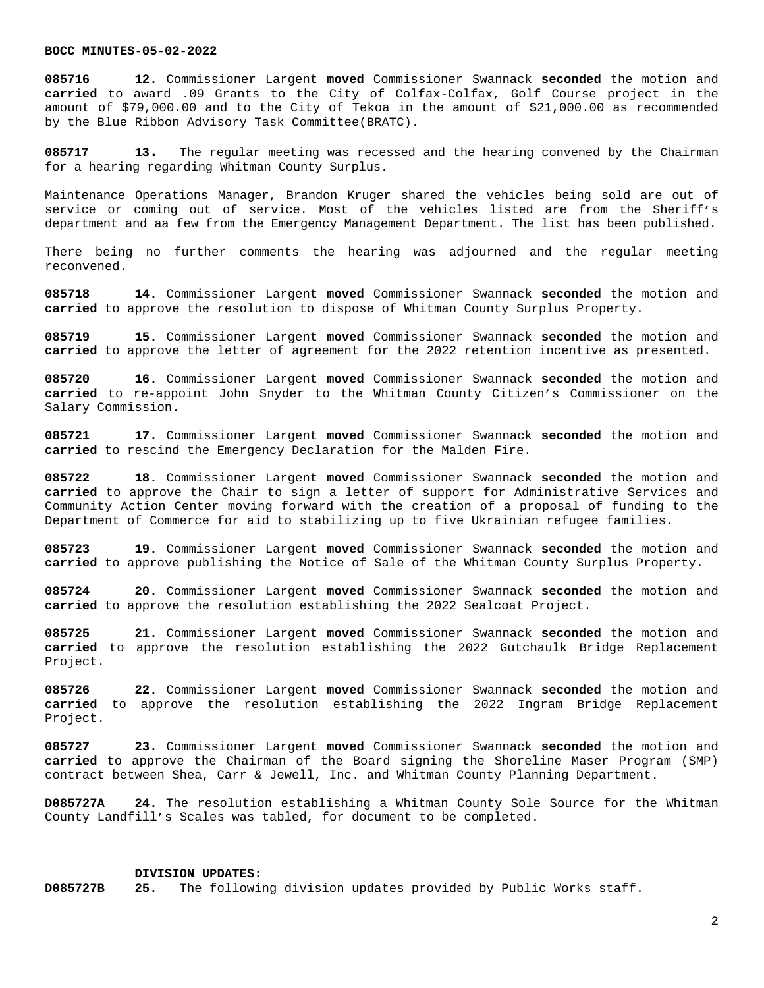**085716 12.** Commissioner Largent **moved** Commissioner Swannack **seconded** the motion and **carried** to award .09 Grants to the City of Colfax-Colfax, Golf Course project in the amount of \$79,000.00 and to the City of Tekoa in the amount of \$21,000.00 as recommended by the Blue Ribbon Advisory Task Committee(BRATC).

**085717 13.** The regular meeting was recessed and the hearing convened by the Chairman for a hearing regarding Whitman County Surplus.

Maintenance Operations Manager, Brandon Kruger shared the vehicles being sold are out of service or coming out of service. Most of the vehicles listed are from the Sheriff's department and aa few from the Emergency Management Department. The list has been published.

There being no further comments the hearing was adjourned and the regular meeting reconvened.

**085718 14.** Commissioner Largent **moved** Commissioner Swannack **seconded** the motion and **carried** to approve the resolution to dispose of Whitman County Surplus Property.

**085719 15.** Commissioner Largent **moved** Commissioner Swannack **seconded** the motion and **carried** to approve the letter of agreement for the 2022 retention incentive as presented.

**085720 16.** Commissioner Largent **moved** Commissioner Swannack **seconded** the motion and **carried** to re-appoint John Snyder to the Whitman County Citizen's Commissioner on the Salary Commission.

**085721 17.** Commissioner Largent **moved** Commissioner Swannack **seconded** the motion and **carried** to rescind the Emergency Declaration for the Malden Fire.

**085722 18.** Commissioner Largent **moved** Commissioner Swannack **seconded** the motion and **carried** to approve the Chair to sign a letter of support for Administrative Services and Community Action Center moving forward with the creation of a proposal of funding to the Department of Commerce for aid to stabilizing up to five Ukrainian refugee families.

**085723 19.** Commissioner Largent **moved** Commissioner Swannack **seconded** the motion and **carried** to approve publishing the Notice of Sale of the Whitman County Surplus Property.

**085724 20.** Commissioner Largent **moved** Commissioner Swannack **seconded** the motion and **carried** to approve the resolution establishing the 2022 Sealcoat Project.

**085725 21.** Commissioner Largent **moved** Commissioner Swannack **seconded** the motion and **carried** to approve the resolution establishing the 2022 Gutchaulk Bridge Replacement Project.

**085726 22.** Commissioner Largent **moved** Commissioner Swannack **seconded** the motion and **carried** to approve the resolution establishing the 2022 Ingram Bridge Replacement Project.

**085727 23.** Commissioner Largent **moved** Commissioner Swannack **seconded** the motion and **carried** to approve the Chairman of the Board signing the Shoreline Maser Program (SMP) contract between Shea, Carr & Jewell, Inc. and Whitman County Planning Department.

**D085727A 24.** The resolution establishing a Whitman County Sole Source for the Whitman County Landfill's Scales was tabled, for document to be completed.

# **DIVISION UPDATES:**

**D085727B 25.** The following division updates provided by Public Works staff.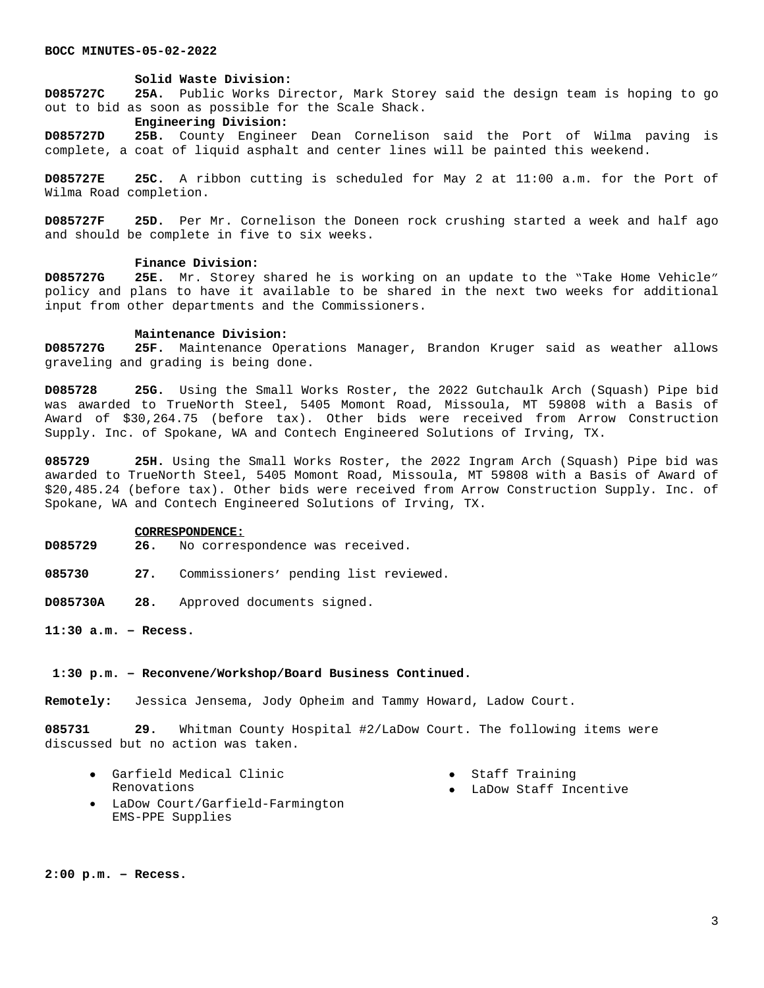#### **Solid Waste Division:**

**D085727C 25A.** Public Works Director, Mark Storey said the design team is hoping to go out to bid as soon as possible for the Scale Shack.

### **Engineering Division:**

**D085727D 25B.** County Engineer Dean Cornelison said the Port of Wilma paving is complete, a coat of liquid asphalt and center lines will be painted this weekend.

**D085727E 25C.** A ribbon cutting is scheduled for May 2 at 11:00 a.m. for the Port of Wilma Road completion.

**D085727F 25D.** Per Mr. Cornelison the Doneen rock crushing started a week and half ago and should be complete in five to six weeks.

# **Finance Division:**

**D085727G 25E.** Mr. Storey shared he is working on an update to the "Take Home Vehicle" policy and plans to have it available to be shared in the next two weeks for additional input from other departments and the Commissioners.

#### **Maintenance Division:**

**D085727G 25F.** Maintenance Operations Manager, Brandon Kruger said as weather allows graveling and grading is being done.

**D085728 25G.** Using the Small Works Roster, the 2022 Gutchaulk Arch (Squash) Pipe bid was awarded to TrueNorth Steel, 5405 Momont Road, Missoula, MT 59808 with a Basis of Award of \$30,264.75 (before tax). Other bids were received from Arrow Construction Supply. Inc. of Spokane, WA and Contech Engineered Solutions of Irving, TX.

**085729 25H.** Using the Small Works Roster, the 2022 Ingram Arch (Squash) Pipe bid was awarded to TrueNorth Steel, 5405 Momont Road, Missoula, MT 59808 with a Basis of Award of \$20,485.24 (before tax). Other bids were received from Arrow Construction Supply. Inc. of Spokane, WA and Contech Engineered Solutions of Irving, TX.

#### **CORRESPONDENCE:**

- **D085729 26.** No correspondence was received.
- **085730 27.** Commissioners' pending list reviewed.
- **D085730A 28.** Approved documents signed.

**11:30 a.m. – Recess.**

### **1:30 p.m. – Reconvene/Workshop/Board Business Continued.**

**Remotely:** Jessica Jensema, Jody Opheim and Tammy Howard, Ladow Court.

**085731 29.** Whitman County Hospital #2/LaDow Court. The following items were discussed but no action was taken.

- Garfield Medical Clinic Renovations Staff Training
	- LaDow Court/Garfield-Farmington EMS-PPE Supplies
- 
- LaDow Staff Incentive

**2:00 p.m. – Recess.**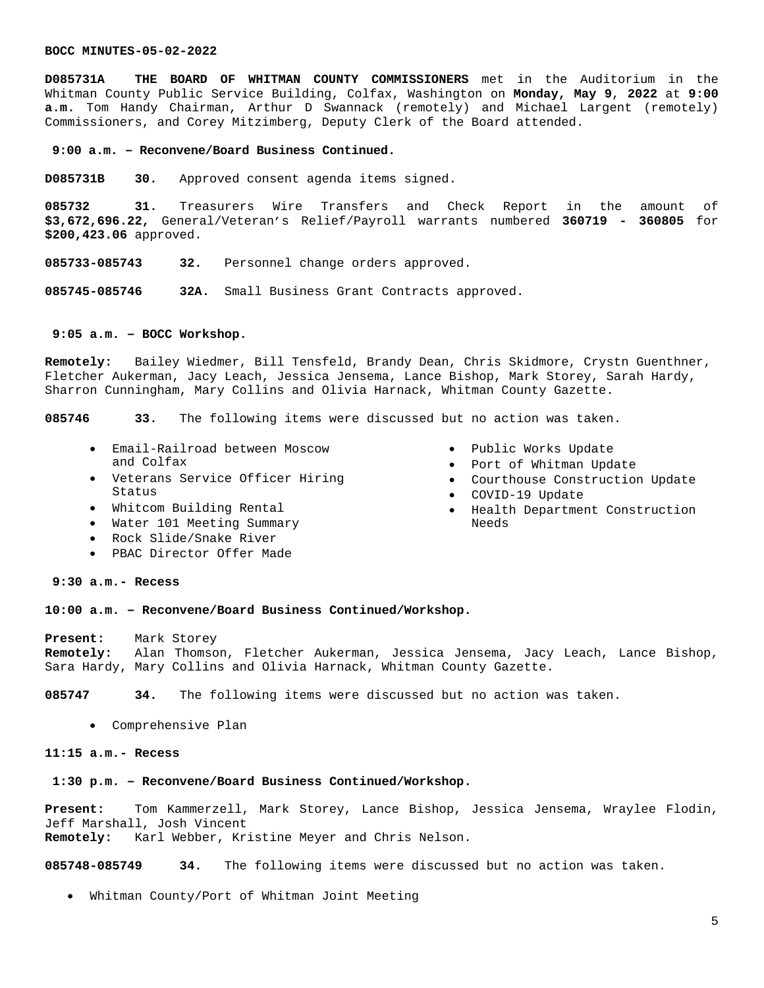**D085731A THE BOARD OF WHITMAN COUNTY COMMISSIONERS** met in the Auditorium in the Whitman County Public Service Building, Colfax, Washington on **Monday, May 9**, **2022** at **9:00 a.m.** Tom Handy Chairman, Arthur D Swannack (remotely) and Michael Largent (remotely) Commissioners, and Corey Mitzimberg, Deputy Clerk of the Board attended.

#### **9:00 a.m. – Reconvene/Board Business Continued.**

**D085731B 30.** Approved consent agenda items signed.

**085732 31.** Treasurers Wire Transfers and Check Report in the amount of **\$3,672,696.22,** General/Veteran's Relief/Payroll warrants numbered **360719 - 360805** for **\$200,423.06** approved.

**085733-085743 32.** Personnel change orders approved.

**085745-085746 32A.** Small Business Grant Contracts approved.

# **9:05 a.m. – BOCC Workshop.**

**Remotely:** Bailey Wiedmer, Bill Tensfeld, Brandy Dean, Chris Skidmore, Crystn Guenthner, Fletcher Aukerman, Jacy Leach, Jessica Jensema, Lance Bishop, Mark Storey, Sarah Hardy, Sharron Cunningham, Mary Collins and Olivia Harnack, Whitman County Gazette.

**085746 33.** The following items were discussed but no action was taken.

- Email-Railroad between Moscow and Colfax
- Veterans Service Officer Hiring Status
- Whitcom Building Rental
- Water 101 Meeting Summary
- Rock Slide/Snake River
- PBAC Director Offer Made
- Public Works Update
- Port of Whitman Update
- Courthouse Construction Update
- COVID-19 Update
- Health Department Construction Needs

### **9:30 a.m.- Recess**

### **10:00 a.m. – Reconvene/Board Business Continued/Workshop.**

**Present:** Mark Storey **Remotely:** Alan Thomson, Fletcher Aukerman, Jessica Jensema, Jacy Leach, Lance Bishop, Sara Hardy, Mary Collins and Olivia Harnack, Whitman County Gazette.

**085747 34.** The following items were discussed but no action was taken.

Comprehensive Plan

### **11:15 a.m.- Recess**

# **1:30 p.m. – Reconvene/Board Business Continued/Workshop.**

**Present:** Tom Kammerzell, Mark Storey, Lance Bishop, Jessica Jensema, Wraylee Flodin, Jeff Marshall, Josh Vincent **Remotely:** Karl Webber, Kristine Meyer and Chris Nelson.

**085748-085749 34.** The following items were discussed but no action was taken.

Whitman County/Port of Whitman Joint Meeting